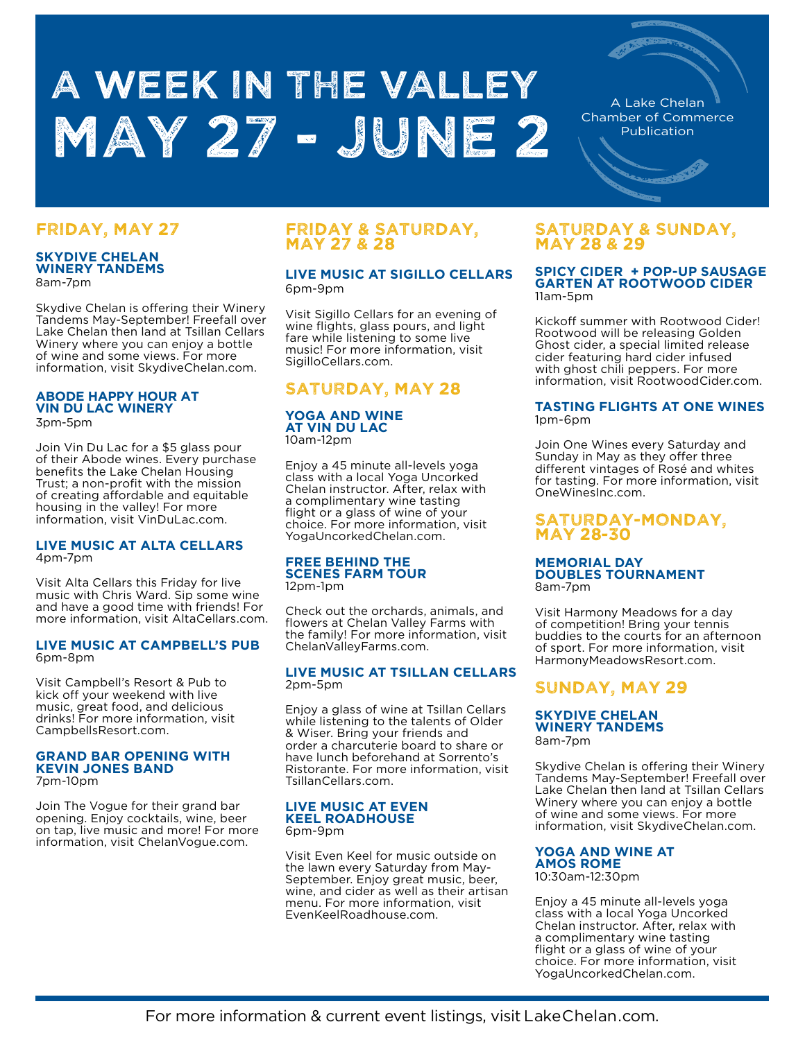# A WEEK IN THE VALLEY May 27 - June 2

A Lake Chelan Chamber of Commerce Publication

# FRIDAY, MAY 27

#### **SKYDIVE CHELAN WINERY TANDEMS** 8am-7pm

Skydive Chelan is offering their Winery Tandems May-September! Freefall over Lake Chelan then land at Tsillan Cellars Winery where you can enjoy a bottle of wine and some views. For more information, visit SkydiveChelan.com.

#### **ABODE HAPPY HOUR AT VIN DU LAC WINERY** 3pm-5pm

Join Vin Du Lac for a \$5 glass pour of their Abode wines. Every purchase benefits the Lake Chelan Housing Trust; a non-profit with the mission of creating affordable and equitable housing in the valley! For more information, visit VinDuLac.com.

#### **LIVE MUSIC AT ALTA CELLARS**  4pm-7pm

Visit Alta Cellars this Friday for live music with Chris Ward. Sip some wine and have a good time with friends! For more information, visit AltaCellars.com.

#### **LIVE MUSIC AT CAMPBELL'S PUB** 6pm-8pm

Visit Campbell's Resort & Pub to kick off your weekend with live music, great food, and delicious drinks! For more information, visit CampbellsResort.com.

#### **GRAND BAR OPENING WITH KEVIN JONES BAND** 7pm-10pm

Join The Vogue for their grand bar opening. Enjoy cocktails, wine, beer on tap, live music and more! For more information, visit ChelanVogue.com.

## FRIDAY & SATURDAY, MAY 27 & 28

### **LIVE MUSIC AT SIGILLO CELLARS** 6pm-9pm

Visit Sigillo Cellars for an evening of wine flights, glass pours, and light fare while listening to some live music! For more information, visit SigilloCellars.com.

# SATURDAY, MAY 28

#### **YOGA AND WINE AT VIN DU LAC**  10am-12pm

Enjoy a 45 minute all-levels yoga class with a local Yoga Uncorked Chelan instructor. After, relax with a complimentary wine tasting flight or a glass of wine of your choice. For more information, visit YogaUncorkedChelan.com.

#### **FREE BEHIND THE SCENES FARM TOUR**  12pm-1pm

Check out the orchards, animals, and flowers at Chelan Valley Farms with the family! For more information, visit ChelanValleyFarms.com.

#### **LIVE MUSIC AT TSILLAN CELLARS** 2pm-5pm

Enjoy a glass of wine at Tsillan Cellars while listening to the talents of Older & Wiser. Bring your friends and order a charcuterie board to share or have lunch beforehand at Sorrento's Ristorante. For more information, visit TsillanCellars.com.

## **LIVE MUSIC AT EVEN KEEL ROADHOUSE**

6pm-9pm

Visit Even Keel for music outside on the lawn every Saturday from May-September. Enjoy great music, beer, wine, and cider as well as their artisan menu. For more information, visit EvenKeelRoadhouse.com.

## SATURDAY & SUNDAY, MAY 28 & 29

#### **SPICY CIDER + POP-UP SAUSAGE GARTEN AT ROOTWOOD CIDER** 11am-5pm

Kickoff summer with Rootwood Cider! Rootwood will be releasing Golden Ghost cider, a special limited release cider featuring hard cider infused with ghost chili peppers. For more information, visit RootwoodCider.com.

#### **TASTING FLIGHTS AT ONE WINES**  1pm-6pm

Join One Wines every Saturday and Sunday in May as they offer three different vintages of Rosé and whites for tasting. For more information, visit OneWinesInc.com.

## SATURDAY-MONDAY, MAY 28-30

#### **MEMORIAL DAY DOUBLES TOURNAMENT**  8am-7pm

Visit Harmony Meadows for a day of competition! Bring your tennis buddies to the courts for an afternoon of sport. For more information, visit HarmonyMeadowsResort.com.

# SUNDAY, MAY 29

## **SKYDIVE CHELAN WINERY TANDEMS** 8am-7pm

Skydive Chelan is offering their Winery Tandems May-September! Freefall over Lake Chelan then land at Tsillan Cellars Winery where you can enjoy a bottle of wine and some views. For more

information, visit SkydiveChelan.com.

#### **YOGA AND WINE AT AMOS ROME**  10:30am-12:30pm

Enjoy a 45 minute all-levels yoga class with a local Yoga Uncorked Chelan instructor. After, relax with a complimentary wine tasting flight or a glass of wine of your choice. For more information, visit YogaUncorkedChelan.com.